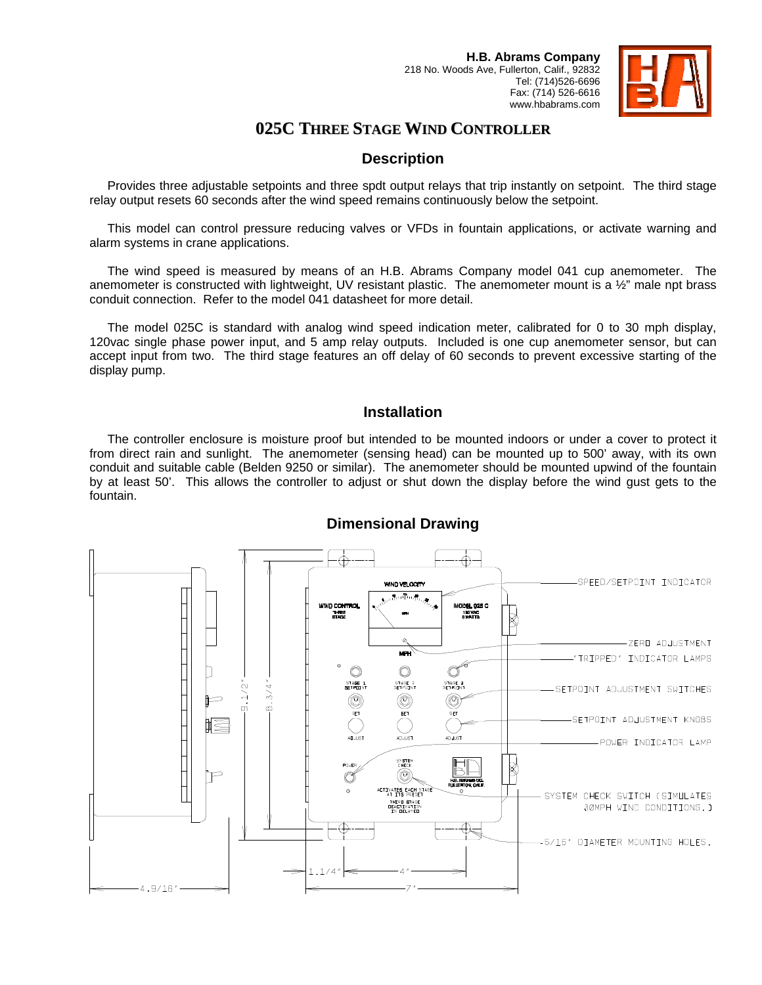

# **025C THREE STAGE WIND CONTROLLER**

### **Description**

Provides three adjustable setpoints and three spdt output relays that trip instantly on setpoint. The third stage relay output resets 60 seconds after the wind speed remains continuously below the setpoint.

This model can control pressure reducing valves or VFDs in fountain applications, or activate warning and alarm systems in crane applications.

The wind speed is measured by means of an H.B. Abrams Company model 041 cup anemometer. The anemometer is constructed with lightweight, UV resistant plastic. The anemometer mount is a ½" male npt brass conduit connection. Refer to the model 041 datasheet for more detail.

The model 025C is standard with analog wind speed indication meter, calibrated for 0 to 30 mph display, 120vac single phase power input, and 5 amp relay outputs. Included is one cup anemometer sensor, but can accept input from two. The third stage features an off delay of 60 seconds to prevent excessive starting of the display pump.

#### **Installation**

The controller enclosure is moisture proof but intended to be mounted indoors or under a cover to protect it from direct rain and sunlight. The anemometer (sensing head) can be mounted up to 500' away, with its own conduit and suitable cable (Belden 9250 or similar). The anemometer should be mounted upwind of the fountain by at least 50'. This allows the controller to adjust or shut down the display before the wind gust gets to the fountain.



### **Dimensional Drawing**